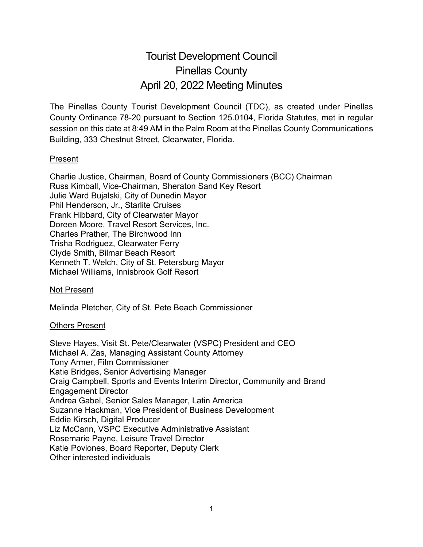# Tourist Development Council Pinellas County April 20, 2022 Meeting Minutes

The Pinellas County Tourist Development Council (TDC), as created under Pinellas County Ordinance 78-20 pursuant to Section 125.0104, Florida Statutes, met in regular session on this date at 8:49 AM in the Palm Room at the Pinellas County Communications Building, 333 Chestnut Street, Clearwater, Florida.

#### Present

Charlie Justice, Chairman, Board of County Commissioners (BCC) Chairman Russ Kimball, Vice-Chairman, Sheraton Sand Key Resort Julie Ward Bujalski, City of Dunedin Mayor Phil Henderson, Jr., Starlite Cruises Frank Hibbard, City of Clearwater Mayor Doreen Moore, Travel Resort Services, Inc. Charles Prather, The Birchwood Inn Trisha Rodriguez, Clearwater Ferry Clyde Smith, Bilmar Beach Resort Kenneth T. Welch, City of St. Petersburg Mayor Michael Williams, Innisbrook Golf Resort

#### Not Present

Melinda Pletcher, City of St. Pete Beach Commissioner

#### Others Present

Steve Hayes, Visit St. Pete/Clearwater (VSPC) President and CEO Michael A. Zas, Managing Assistant County Attorney Tony Armer, Film Commissioner Katie Bridges, Senior Advertising Manager Craig Campbell, Sports and Events Interim Director, Community and Brand Engagement Director Andrea Gabel, Senior Sales Manager, Latin America Suzanne Hackman, Vice President of Business Development Eddie Kirsch, Digital Producer Liz McCann, VSPC Executive Administrative Assistant Rosemarie Payne, Leisure Travel Director Katie Poviones, Board Reporter, Deputy Clerk Other interested individuals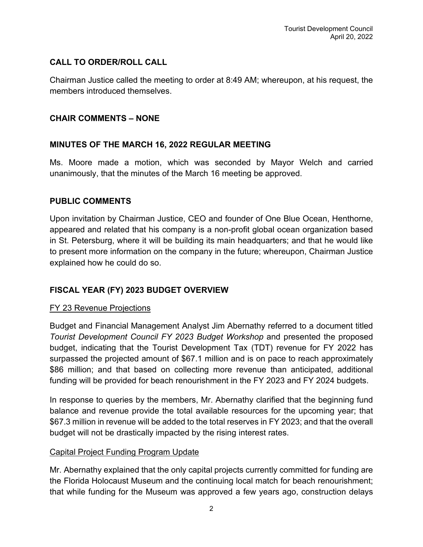## **CALL TO ORDER/ROLL CALL**

Chairman Justice called the meeting to order at 8:49 AM; whereupon, at his request, the members introduced themselves.

#### **CHAIR COMMENTS – NONE**

## **MINUTES OF THE MARCH 16, 2022 REGULAR MEETING**

Ms. Moore made a motion, which was seconded by Mayor Welch and carried unanimously, that the minutes of the March 16 meeting be approved.

#### **PUBLIC COMMENTS**

Upon invitation by Chairman Justice, CEO and founder of One Blue Ocean, Henthorne, appeared and related that his company is a non-profit global ocean organization based in St. Petersburg, where it will be building its main headquarters; and that he would like to present more information on the company in the future; whereupon, Chairman Justice explained how he could do so.

## **FISCAL YEAR (FY) 2023 BUDGET OVERVIEW**

#### FY 23 Revenue Projections

Budget and Financial Management Analyst Jim Abernathy referred to a document titled *Tourist Development Council FY 2023 Budget Workshop* and presented the proposed budget, indicating that the Tourist Development Tax (TDT) revenue for FY 2022 has surpassed the projected amount of \$67.1 million and is on pace to reach approximately \$86 million; and that based on collecting more revenue than anticipated, additional funding will be provided for beach renourishment in the FY 2023 and FY 2024 budgets.

In response to queries by the members, Mr. Abernathy clarified that the beginning fund balance and revenue provide the total available resources for the upcoming year; that \$67.3 million in revenue will be added to the total reserves in FY 2023; and that the overall budget will not be drastically impacted by the rising interest rates.

#### Capital Project Funding Program Update

Mr. Abernathy explained that the only capital projects currently committed for funding are the Florida Holocaust Museum and the continuing local match for beach renourishment; that while funding for the Museum was approved a few years ago, construction delays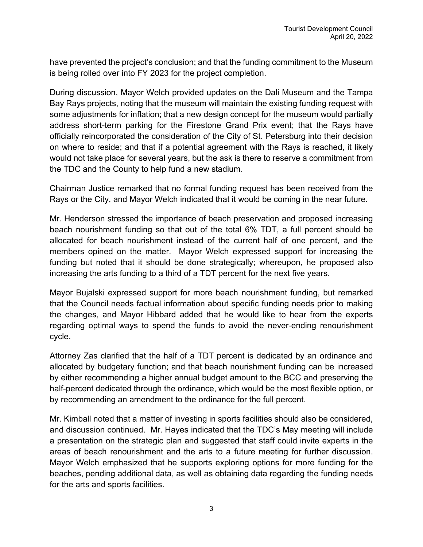have prevented the project's conclusion; and that the funding commitment to the Museum is being rolled over into FY 2023 for the project completion.

During discussion, Mayor Welch provided updates on the Dali Museum and the Tampa Bay Rays projects, noting that the museum will maintain the existing funding request with some adjustments for inflation; that a new design concept for the museum would partially address short-term parking for the Firestone Grand Prix event; that the Rays have officially reincorporated the consideration of the City of St. Petersburg into their decision on where to reside; and that if a potential agreement with the Rays is reached, it likely would not take place for several years, but the ask is there to reserve a commitment from the TDC and the County to help fund a new stadium.

Chairman Justice remarked that no formal funding request has been received from the Rays or the City, and Mayor Welch indicated that it would be coming in the near future.

Mr. Henderson stressed the importance of beach preservation and proposed increasing beach nourishment funding so that out of the total 6% TDT, a full percent should be allocated for beach nourishment instead of the current half of one percent, and the members opined on the matter. Mayor Welch expressed support for increasing the funding but noted that it should be done strategically; whereupon, he proposed also increasing the arts funding to a third of a TDT percent for the next five years.

Mayor Bujalski expressed support for more beach nourishment funding, but remarked that the Council needs factual information about specific funding needs prior to making the changes, and Mayor Hibbard added that he would like to hear from the experts regarding optimal ways to spend the funds to avoid the never-ending renourishment cycle.

Attorney Zas clarified that the half of a TDT percent is dedicated by an ordinance and allocated by budgetary function; and that beach nourishment funding can be increased by either recommending a higher annual budget amount to the BCC and preserving the half-percent dedicated through the ordinance, which would be the most flexible option, or by recommending an amendment to the ordinance for the full percent.

Mr. Kimball noted that a matter of investing in sports facilities should also be considered, and discussion continued. Mr. Hayes indicated that the TDC's May meeting will include a presentation on the strategic plan and suggested that staff could invite experts in the areas of beach renourishment and the arts to a future meeting for further discussion. Mayor Welch emphasized that he supports exploring options for more funding for the beaches, pending additional data, as well as obtaining data regarding the funding needs for the arts and sports facilities.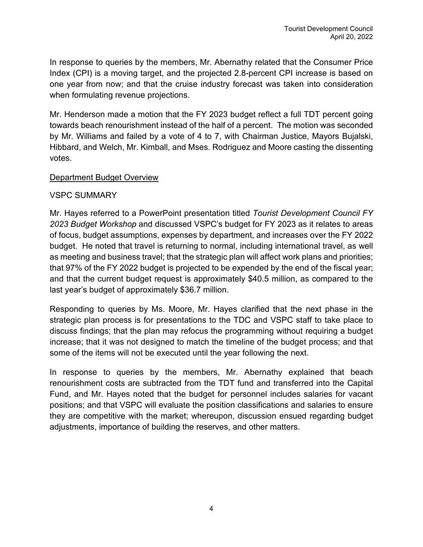In response to queries by the members, Mr. Abernathy related that the Consumer Price Index (CPI) is a moving target, and the projected 2.8-percent CPI increase is based on one year from now; and that the cruise industry forecast was taken into consideration when formulating revenue projections.

Mr. Henderson made a motion that the FY 2023 budget reflect a full TDT percent going towards beach renourishment instead of the half of a percent. The motion was seconded by Mr. Williams and failed by a vote of 4 to 7, with Chairman Justice, Mayors Bujalski, Hibbard, and Welch, Mr. Kimball, and Mses. Rodriguez and Moore casting the dissenting votes.

#### Department Budget Overview

#### VSPC SUMMARY

Mr. Hayes referred to a PowerPoint presentation titled *Tourist Development Council FY 2023 Budget Workshop* and discussed VSPC's budget for FY 2023 as it relates to areas of focus, budget assumptions, expenses by department, and increases over the FY 2022 budget. He noted that travel is returning to normal, including international travel, as well as meeting and business travel; that the strategic plan will affect work plans and priorities; that 97% of the FY 2022 budget is projected to be expended by the end of the fiscal year; and that the current budget request is approximately \$40.5 million, as compared to the last year's budget of approximately \$36.7 million.

Responding to queries by Ms. Moore, Mr. Hayes clarified that the next phase in the strategic plan process is for presentations to the TDC and VSPC staff to take place to discuss findings; that the plan may refocus the programming without requiring a budget increase; that it was not designed to match the timeline of the budget process; and that some of the items will not be executed until the year following the next.

In response to queries by the members, Mr. Abernathy explained that beach renourishment costs are subtracted from the TDT fund and transferred into the Capital Fund, and Mr. Hayes noted that the budget for personnel includes salaries for vacant positions; and that VSPC will evaluate the position classifications and salaries to ensure they are competitive with the market; whereupon, discussion ensued regarding budget adjustments, importance of building the reserves, and other matters.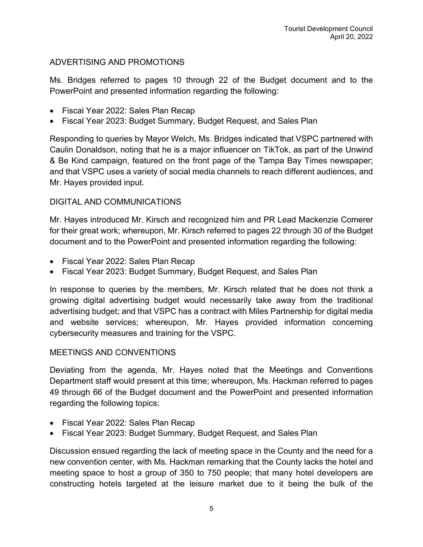## ADVERTISING AND PROMOTIONS

Ms. Bridges referred to pages 10 through 22 of the Budget document and to the PowerPoint and presented information regarding the following:

- Fiscal Year 2022: Sales Plan Recap
- Fiscal Year 2023: Budget Summary, Budget Request, and Sales Plan

Responding to queries by Mayor Welch, Ms. Bridges indicated that VSPC partnered with Caulin Donaldson, noting that he is a major influencer on TikTok, as part of the Unwind & Be Kind campaign, featured on the front page of the Tampa Bay Times newspaper; and that VSPC uses a variety of social media channels to reach different audiences, and Mr. Hayes provided input.

## DIGITAL AND COMMUNICATIONS

Mr. Hayes introduced Mr. Kirsch and recognized him and PR Lead Mackenzie Comerer for their great work; whereupon, Mr. Kirsch referred to pages 22 through 30 of the Budget document and to the PowerPoint and presented information regarding the following:

- Fiscal Year 2022: Sales Plan Recap
- Fiscal Year 2023: Budget Summary, Budget Request, and Sales Plan

In response to queries by the members, Mr. Kirsch related that he does not think a growing digital advertising budget would necessarily take away from the traditional advertising budget; and that VSPC has a contract with Miles Partnership for digital media and website services; whereupon, Mr. Hayes provided information concerning cybersecurity measures and training for the VSPC.

## MEETINGS AND CONVENTIONS

Deviating from the agenda, Mr. Hayes noted that the Meetings and Conventions Department staff would present at this time; whereupon, Ms. Hackman referred to pages 49 through 66 of the Budget document and the PowerPoint and presented information regarding the following topics:

- Fiscal Year 2022: Sales Plan Recap
- Fiscal Year 2023: Budget Summary, Budget Request, and Sales Plan

Discussion ensued regarding the lack of meeting space in the County and the need for a new convention center, with Ms. Hackman remarking that the County lacks the hotel and meeting space to host a group of 350 to 750 people; that many hotel developers are constructing hotels targeted at the leisure market due to it being the bulk of the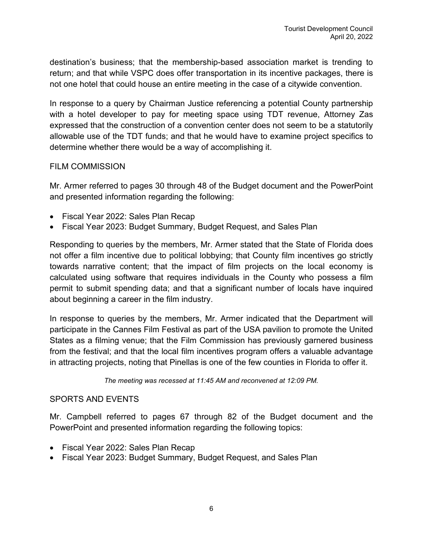destination's business; that the membership-based association market is trending to return; and that while VSPC does offer transportation in its incentive packages, there is not one hotel that could house an entire meeting in the case of a citywide convention.

In response to a query by Chairman Justice referencing a potential County partnership with a hotel developer to pay for meeting space using TDT revenue, Attorney Zas expressed that the construction of a convention center does not seem to be a statutorily allowable use of the TDT funds; and that he would have to examine project specifics to determine whether there would be a way of accomplishing it.

#### FILM COMMISSION

Mr. Armer referred to pages 30 through 48 of the Budget document and the PowerPoint and presented information regarding the following:

- Fiscal Year 2022: Sales Plan Recap
- Fiscal Year 2023: Budget Summary, Budget Request, and Sales Plan

Responding to queries by the members, Mr. Armer stated that the State of Florida does not offer a film incentive due to political lobbying; that County film incentives go strictly towards narrative content; that the impact of film projects on the local economy is calculated using software that requires individuals in the County who possess a film permit to submit spending data; and that a significant number of locals have inquired about beginning a career in the film industry.

In response to queries by the members, Mr. Armer indicated that the Department will participate in the Cannes Film Festival as part of the USA pavilion to promote the United States as a filming venue; that the Film Commission has previously garnered business from the festival; and that the local film incentives program offers a valuable advantage in attracting projects, noting that Pinellas is one of the few counties in Florida to offer it.

*The meeting was recessed at 11:45 AM and reconvened at 12:09 PM.*

#### SPORTS AND EVENTS

Mr. Campbell referred to pages 67 through 82 of the Budget document and the PowerPoint and presented information regarding the following topics:

- Fiscal Year 2022: Sales Plan Recap
- Fiscal Year 2023: Budget Summary, Budget Request, and Sales Plan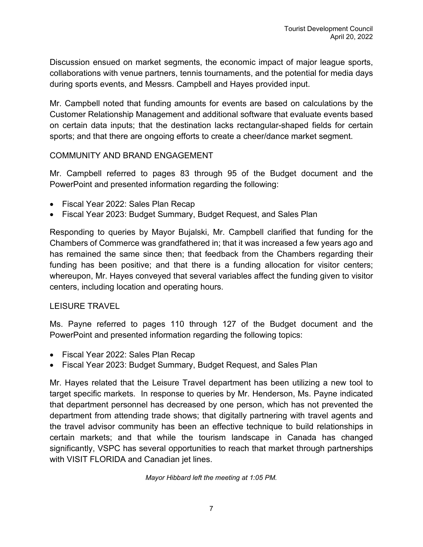Discussion ensued on market segments, the economic impact of major league sports, collaborations with venue partners, tennis tournaments, and the potential for media days during sports events, and Messrs. Campbell and Hayes provided input.

Mr. Campbell noted that funding amounts for events are based on calculations by the Customer Relationship Management and additional software that evaluate events based on certain data inputs; that the destination lacks rectangular-shaped fields for certain sports; and that there are ongoing efforts to create a cheer/dance market segment.

#### COMMUNITY AND BRAND ENGAGEMENT

Mr. Campbell referred to pages 83 through 95 of the Budget document and the PowerPoint and presented information regarding the following:

- Fiscal Year 2022: Sales Plan Recap
- Fiscal Year 2023: Budget Summary, Budget Request, and Sales Plan

Responding to queries by Mayor Bujalski, Mr. Campbell clarified that funding for the Chambers of Commerce was grandfathered in; that it was increased a few years ago and has remained the same since then; that feedback from the Chambers regarding their funding has been positive; and that there is a funding allocation for visitor centers; whereupon, Mr. Hayes conveyed that several variables affect the funding given to visitor centers, including location and operating hours.

## LEISURE TRAVEL

Ms. Payne referred to pages 110 through 127 of the Budget document and the PowerPoint and presented information regarding the following topics:

- Fiscal Year 2022: Sales Plan Recap
- Fiscal Year 2023: Budget Summary, Budget Request, and Sales Plan

Mr. Hayes related that the Leisure Travel department has been utilizing a new tool to target specific markets. In response to queries by Mr. Henderson, Ms. Payne indicated that department personnel has decreased by one person, which has not prevented the department from attending trade shows; that digitally partnering with travel agents and the travel advisor community has been an effective technique to build relationships in certain markets; and that while the tourism landscape in Canada has changed significantly, VSPC has several opportunities to reach that market through partnerships with VISIT FLORIDA and Canadian jet lines.

*Mayor Hibbard left the meeting at 1:05 PM.*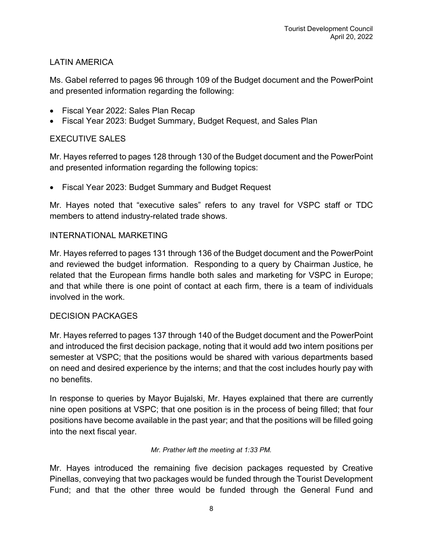# LATIN AMERICA

Ms. Gabel referred to pages 96 through 109 of the Budget document and the PowerPoint and presented information regarding the following:

- Fiscal Year 2022: Sales Plan Recap
- Fiscal Year 2023: Budget Summary, Budget Request, and Sales Plan

# EXECUTIVE SALES

Mr. Hayes referred to pages 128 through 130 of the Budget document and the PowerPoint and presented information regarding the following topics:

• Fiscal Year 2023: Budget Summary and Budget Request

Mr. Hayes noted that "executive sales" refers to any travel for VSPC staff or TDC members to attend industry-related trade shows.

## INTERNATIONAL MARKETING

Mr. Hayes referred to pages 131 through 136 of the Budget document and the PowerPoint and reviewed the budget information. Responding to a query by Chairman Justice, he related that the European firms handle both sales and marketing for VSPC in Europe; and that while there is one point of contact at each firm, there is a team of individuals involved in the work.

## DECISION PACKAGES

Mr. Hayes referred to pages 137 through 140 of the Budget document and the PowerPoint and introduced the first decision package, noting that it would add two intern positions per semester at VSPC; that the positions would be shared with various departments based on need and desired experience by the interns; and that the cost includes hourly pay with no benefits.

In response to queries by Mayor Bujalski, Mr. Hayes explained that there are currently nine open positions at VSPC; that one position is in the process of being filled; that four positions have become available in the past year; and that the positions will be filled going into the next fiscal year.

#### *Mr. Prather left the meeting at 1:33 PM.*

Mr. Hayes introduced the remaining five decision packages requested by Creative Pinellas, conveying that two packages would be funded through the Tourist Development Fund; and that the other three would be funded through the General Fund and